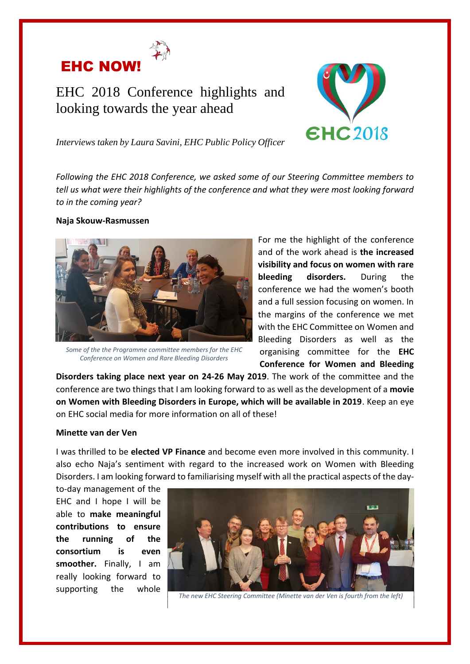

# EHC 2018 Conference highlights and looking towards the year ahead



*Interviews taken by Laura Savini, EHC Public Policy Officer*

*Following the EHC 2018 Conference, we asked some of our Steering Committee members to tell us what were their highlights of the conference and what they were most looking forward to in the coming year?* 

#### **Naja Skouw-Rasmussen**



*Some of the the Programme committee members for the EHC Conference on Women and Rare Bleeding Disorders*

For me the highlight of the conference and of the work ahead is **the increased visibility and focus on women with rare bleeding disorders.** During the conference we had the women's booth and a full session focusing on women. In the margins of the conference we met with the EHC Committee on Women and Bleeding Disorders as well as the organising committee for the **EHC Conference for Women and Bleeding** 

**Disorders taking place next year on 24-26 May 2019**. The work of the committee and the conference are two things that I am looking forward to as well as the development of a **movie on Women with Bleeding Disorders in Europe, which will be available in 2019**. Keep an eye on EHC social media for more information on all of these!

#### **Minette van der Ven**

I was thrilled to be **elected VP Finance** and become even more involved in this community. I also echo Naja's sentiment with regard to the increased work on Women with Bleeding Disorders. I am looking forward to familiarising myself with all the practical aspects of the day-

to-day management of the EHC and I hope I will be able to **make meaningful contributions to ensure the running of the consortium is even smoother.** Finally, I am really looking forward to supporting the whole



*The new EHC Steering Committee (Minette van der Ven is fourth from the left)*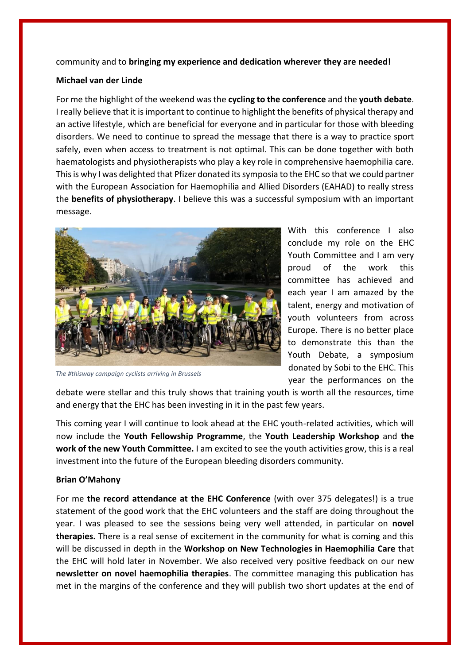## community and to **bringing my experience and dedication wherever they are needed!**

#### **Michael van der Linde**

For me the highlight of the weekend was the **cycling to the conference** and the **youth debate**. I really believe that it is important to continue to highlight the benefits of physical therapy and an active lifestyle, which are beneficial for everyone and in particular for those with bleeding disorders. We need to continue to spread the message that there is a way to practice sport safely, even when access to treatment is not optimal. This can be done together with both haematologists and physiotherapists who play a key role in comprehensive haemophilia care. This is why I was delighted that Pfizer donated its symposia to the EHC so that we could partner with the European Association for Haemophilia and Allied Disorders (EAHAD) to really stress the **benefits of physiotherapy**. I believe this was a successful symposium with an important message.



*The #thisway campaign cyclists arriving in Brussels*

With this conference I also conclude my role on the EHC Youth Committee and I am very proud of the work this committee has achieved and each year I am amazed by the talent, energy and motivation of youth volunteers from across Europe. There is no better place to demonstrate this than the Youth Debate, a symposium donated by Sobi to the EHC. This year the performances on the

debate were stellar and this truly shows that training youth is worth all the resources, time and energy that the EHC has been investing in it in the past few years.

This coming year I will continue to look ahead at the EHC youth-related activities, which will now include the **Youth Fellowship Programme**, the **Youth Leadership Workshop** and **the work of the new Youth Committee.** I am excited to see the youth activities grow, this is a real investment into the future of the European bleeding disorders community.

## **Brian O'Mahony**

For me **the record attendance at the EHC Conference** (with over 375 delegates!) is a true statement of the good work that the EHC volunteers and the staff are doing throughout the year. I was pleased to see the sessions being very well attended, in particular on **novel therapies.** There is a real sense of excitement in the community for what is coming and this will be discussed in depth in the **Workshop on New Technologies in Haemophilia Care** that the EHC will hold later in November. We also received very positive feedback on our new **newsletter on novel haemophilia therapies**. The committee managing this publication has met in the margins of the conference and they will publish two short updates at the end of